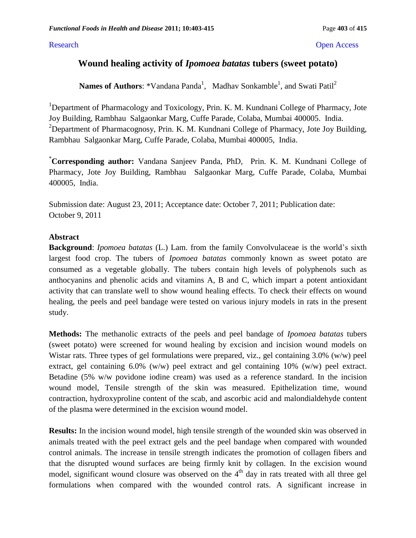#### Research **Open Access**

# **Wound healing activity of** *Ipomoea batatas* **tubers (sweet potato)**

**Names of Authors**: \*Vandana Panda<sup>1</sup>, Madhav Sonkamble<sup>1</sup>, and Swati Patil<sup>2</sup>

<sup>1</sup>Department of Pharmacology and Toxicology, Prin. K. M. Kundnani College of Pharmacy, Jote Joy Building, Rambhau Salgaonkar Marg, Cuffe Parade, Colaba, Mumbai 400005. India. <sup>2</sup>Department of Pharmacognosy, Prin. K. M. Kundnani College of Pharmacy, Jote Joy Building, Rambhau Salgaonkar Marg, Cuffe Parade, Colaba, Mumbai 400005, India.

\***Corresponding author:** Vandana Sanjeev Panda, PhD, Prin. K. M. Kundnani College of Pharmacy, Jote Joy Building, Rambhau Salgaonkar Marg, Cuffe Parade, Colaba, Mumbai 400005, India.

Submission date: August 23, 2011; Acceptance date: October 7, 2011; Publication date: October 9, 2011

#### **Abstract**

**Background**: *Ipomoea batatas* (L.) Lam. from the family Convolvulaceae is the world's sixth largest food crop. The tubers of *Ipomoea batatas* commonly known as sweet potato are consumed as a vegetable globally. The tubers contain high levels of polyphenols such as anthocyanins and phenolic acids and vitamins A, B and C, which impart a potent antioxidant activity that can translate well to show wound healing effects. To check their effects on wound healing, the peels and peel bandage were tested on various injury models in rats in the present study.

**Methods:** The methanolic extracts of the peels and peel bandage of *Ipomoea batatas* tubers (sweet potato) were screened for wound healing by excision and incision wound models on Wistar rats. Three types of gel formulations were prepared, viz., gel containing 3.0% (w/w) peel extract, gel containing 6.0% (w/w) peel extract and gel containing 10% (w/w) peel extract. Betadine (5% w/w povidone iodine cream) was used as a reference standard. In the incision wound model, Tensile strength of the skin was measured. Epithelization time, wound contraction, hydroxyproline content of the scab, and ascorbic acid and malondialdehyde content of the plasma were determined in the excision wound model.

**Results:** In the incision wound model, high tensile strength of the wounded skin was observed in animals treated with the peel extract gels and the peel bandage when compared with wounded control animals. The increase in tensile strength indicates the promotion of collagen fibers and that the disrupted wound surfaces are being firmly knit by collagen. In the excision wound model, significant wound closure was observed on the 4<sup>th</sup> day in rats treated with all three gel formulations when compared with the wounded control rats. A significant increase in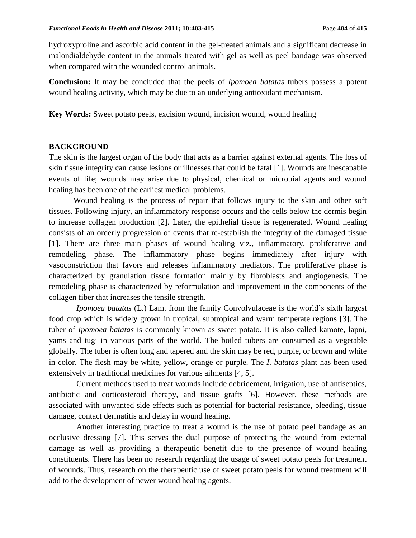hydroxyproline and ascorbic acid content in the gel-treated animals and a significant decrease in malondialdehyde content in the animals treated with gel as well as peel bandage was observed when compared with the wounded control animals.

**Conclusion:** It may be concluded that the peels of *Ipomoea batatas* tubers possess a potent wound healing activity, which may be due to an underlying antioxidant mechanism.

**Key Words:** Sweet potato peels, excision wound, incision wound, wound healing

### **BACKGROUND**

The skin is the largest organ of the body that acts as a barrier against external agents. The loss of skin tissue integrity can cause lesions or illnesses that could be fatal [1]. Wounds are inescapable events of life; wounds may arise due to physical, chemical or microbial agents and wound healing has been one of the earliest medical problems.

Wound healing is the process of repair that follows injury to the skin and other soft tissues. Following injury, an inflammatory response occurs and the cells below the dermis begin to increase collagen production [2]. Later, the epithelial tissue is regenerated. Wound healing consists of an orderly progression of events that re-establish the integrity of the damaged tissue [1]. There are three main phases of wound healing viz., inflammatory, proliferative and remodeling phase. The inflammatory phase begins immediately after injury with vasoconstriction that favors and releases inflammatory mediators. The proliferative phase is characterized by granulation tissue formation mainly by fibroblasts and angiogenesis. The remodeling phase is characterized by reformulation and improvement in the components of the collagen fiber that increases the tensile strength.

*Ipomoea batatas* (L.) Lam. from the family Convolvulaceae is the world's sixth largest food crop which is widely grown in tropical, subtropical and warm temperate regions [3]. The tuber of *Ipomoea batatas* is commonly known as sweet potato. It is also called kamote, lapni, yams and tugi in various parts of the world. The boiled tubers are consumed as a vegetable globally. The tuber is often long and tapered and the skin may be red, purple, or brown and white in color. The flesh may be white, yellow, orange or purple. The *I*. *batatas* plant has been used extensively in traditional medicines for various ailments [4, 5].

Current methods used to treat wounds include debridement, irrigation, use of antiseptics, antibiotic and corticosteroid therapy, and tissue grafts [6]. However, these methods are associated with unwanted side effects such as potential for bacterial resistance, bleeding, tissue damage, contact dermatitis and delay in wound healing.

Another interesting practice to treat a wound is the use of potato peel bandage as an occlusive dressing [7]. This serves the dual purpose of protecting the wound from external damage as well as providing a therapeutic benefit due to the presence of wound healing constituents. There has been no research regarding the usage of sweet potato peels for treatment of wounds. Thus, research on the therapeutic use of sweet potato peels for wound treatment will add to the development of newer wound healing agents.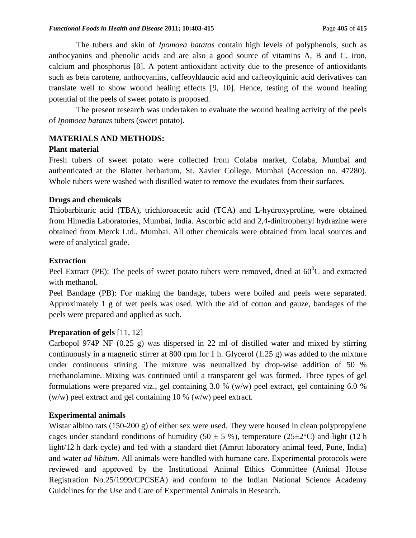The tubers and skin of *Ipomoea batatas* contain high levels of polyphenols, such as anthocyanins and phenolic acids and are also a good source of vitamins A, B and C, iron, calcium and phosphorus [8]. A potent antioxidant activity due to the presence of antioxidants such as beta carotene, anthocyanins, caffeoyldaucic acid and caffeoylquinic acid derivatives can translate well to show wound healing effects [9, 10]. Hence, testing of the wound healing potential of the peels of sweet potato is proposed.

The present research was undertaken to evaluate the wound healing activity of the peels of *Ipomoea batatas* tubers (sweet potato).

# **MATERIALS AND METHODS:**

#### **Plant material**

Fresh tubers of sweet potato were collected from Colaba market, Colaba, Mumbai and authenticated at the Blatter herbarium, St. Xavier College, Mumbai (Accession no. 47280). Whole tubers were washed with distilled water to remove the exudates from their surfaces.

#### **Drugs and chemicals**

Thiobarbituric acid (TBA), trichloroacetic acid (TCA) and L-hydroxyproline, were obtained from Himedia Laboratories, Mumbai, India. Ascorbic acid and 2,4-dinitrophenyl hydrazine were obtained from Merck Ltd., Mumbai. All other chemicals were obtained from local sources and were of analytical grade.

#### **Extraction**

Peel Extract (PE): The peels of sweet potato tubers were removed, dried at  $60^{\circ}$ C and extracted with methanol.

Peel Bandage (PB): For making the bandage, tubers were boiled and peels were separated. Approximately 1 g of wet peels was used. With the aid of cotton and gauze, bandages of the peels were prepared and applied as such.

#### **Preparation of gels** [11, 12]

Carbopol 974P NF (0.25 g) was dispersed in 22 ml of distilled water and mixed by stirring continuously in a magnetic stirrer at 800 rpm for 1 h. Glycerol (1.25 g) was added to the mixture under continuous stirring. The mixture was neutralized by drop-wise addition of 50 % triethanolamine. Mixing was continued until a transparent gel was formed. Three types of gel formulations were prepared viz., gel containing 3.0 % (w/w) peel extract, gel containing 6.0 % (w/w) peel extract and gel containing 10 % (w/w) peel extract.

#### **Experimental animals**

Wistar albino rats (150-200 g) of either sex were used. They were housed in clean polypropylene cages under standard conditions of humidity (50  $\pm$  5 %), temperature (25 $\pm$ 2°C) and light (12 h light/12 h dark cycle) and fed with a standard diet (Amrut laboratory animal feed, Pune, India) and water *ad libitum*. All animals were handled with humane care. Experimental protocols were reviewed and approved by the Institutional Animal Ethics Committee (Animal House Registration No.25/1999/CPCSEA) and conform to the Indian National Science Academy Guidelines for the Use and Care of Experimental Animals in Research.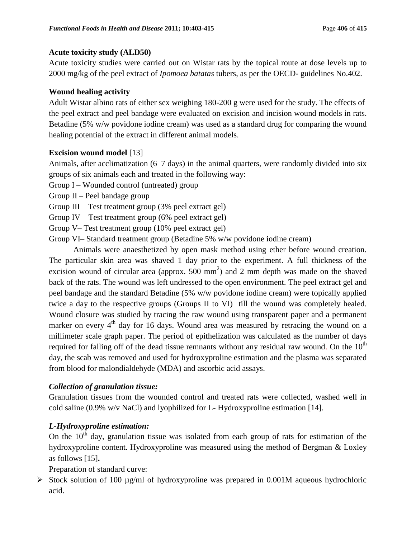# **Acute toxicity study (ALD50)**

Acute toxicity studies were carried out on Wistar rats by the topical route at dose levels up to 2000 mg/kg of the peel extract of *Ipomoea batatas* tubers, as per the OECD- guidelines No.402.

# **Wound healing activity**

Adult Wistar albino rats of either sex weighing 180-200 g were used for the study. The effects of the peel extract and peel bandage were evaluated on excision and incision wound models in rats. Betadine (5% w/w povidone iodine cream) was used as a standard drug for comparing the wound healing potential of the extract in different animal models.

# **Excision wound model** [13]

Animals, after acclimatization (6–7 days) in the animal quarters, were randomly divided into six groups of six animals each and treated in the following way:

Group I – Wounded control (untreated) group

Group II – Peel bandage group

Group III – Test treatment group (3% peel extract gel)

Group IV – Test treatment group (6% peel extract gel)

Group V– Test treatment group (10% peel extract gel)

Group VI– Standard treatment group (Betadine 5% w/w povidone iodine cream)

Animals were anaesthetized by open mask method using ether before wound creation. The particular skin area was shaved 1 day prior to the experiment. A full thickness of the excision wound of circular area (approx.  $500 \text{ mm}^2$ ) and 2 mm depth was made on the shaved back of the rats. The wound was left undressed to the open environment. The peel extract gel and peel bandage and the standard Betadine (5% w/w povidone iodine cream) were topically applied twice a day to the respective groups (Groups II to VI) till the wound was completely healed. Wound closure was studied by tracing the raw wound using transparent paper and a permanent marker on every 4<sup>th</sup> day for 16 days. Wound area was measured by retracing the wound on a millimeter scale graph paper. The period of epithelization was calculated as the number of days required for falling off of the dead tissue remnants without any residual raw wound. On the  $10<sup>th</sup>$ day, the scab was removed and used for hydroxyproline estimation and the plasma was separated from blood for malondialdehyde (MDA) and ascorbic acid assays.

# *Collection of granulation tissue:*

Granulation tissues from the wounded control and treated rats were collected, washed well in cold saline (0.9% w/v NaCl) and lyophilized for L- Hydroxyproline estimation [14].

# *L-Hydroxyproline estimation:*

On the  $10<sup>th</sup>$  day, granulation tissue was isolated from each group of rats for estimation of the hydroxyproline content. Hydroxyproline was measured using the method of Bergman & Loxley as follows [15]**.**

Preparation of standard curve:

 $\triangleright$  Stock solution of 100 µg/ml of hydroxyproline was prepared in 0.001M aqueous hydrochloric acid.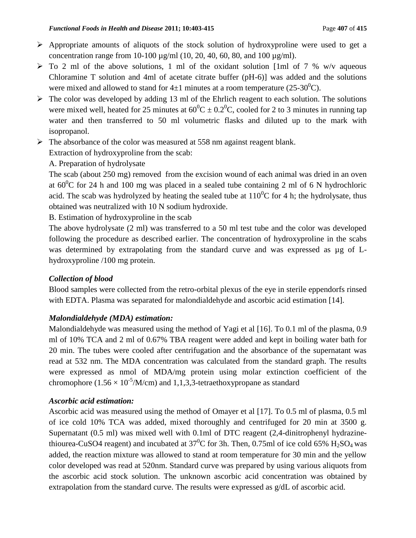- $\triangleright$  Appropriate amounts of aliquots of the stock solution of hydroxyproline were used to get a concentration range from 10-100 µg/ml (10, 20, 40, 60, 80, and 100 µg/ml).
- $\triangleright$  To 2 ml of the above solutions, 1 ml of the oxidant solution [1ml of 7 % w/v aqueous Chloramine T solution and 4ml of acetate citrate buffer (pH-6)] was added and the solutions were mixed and allowed to stand for  $4\pm1$  minutes at a room temperature (25-30<sup>0</sup>C).
- $\triangleright$  The color was developed by adding 13 ml of the Ehrlich reagent to each solution. The solutions were mixed well, heated for 25 minutes at  $60^0C \pm 0.2^0C$ , cooled for 2 to 3 minutes in running tap water and then transferred to 50 ml volumetric flasks and diluted up to the mark with isopropanol.
- The absorbance of the color was measured at 558 nm against reagent blank.

Extraction of hydroxyproline from the scab:

# A. Preparation of hydrolysate

The scab (about 250 mg) removed from the excision wound of each animal was dried in an oven at  $60^{\circ}$ C for 24 h and 100 mg was placed in a sealed tube containing 2 ml of 6 N hydrochloric acid. The scab was hydrolyzed by heating the sealed tube at  $110^{0}$ C for 4 h; the hydrolysate, thus obtained was neutralized with 10 N sodium hydroxide.

B. Estimation of hydroxyproline in the scab

The above hydrolysate (2 ml) was transferred to a 50 ml test tube and the color was developed following the procedure as described earlier. The concentration of hydroxyproline in the scabs was determined by extrapolating from the standard curve and was expressed as µg of Lhydroxyproline /100 mg protein.

# *Collection of blood*

Blood samples were collected from the retro-orbital plexus of the eye in sterile eppendorfs rinsed with EDTA. Plasma was separated for malondialdehyde and ascorbic acid estimation [14].

# *Malondialdehyde (MDA) estimation:*

Malondialdehyde was measured using the method of Yagi et al [16]. To 0.1 ml of the plasma, 0.9 ml of 10% TCA and 2 ml of 0.67% TBA reagent were added and kept in boiling water bath for 20 min. The tubes were cooled after centrifugation and the absorbance of the supernatant was read at 532 nm. The MDA concentration was calculated from the standard graph. The results were expressed as nmol of MDA/mg protein using molar extinction coefficient of the chromophore (1.56  $\times$  10<sup>-5</sup>/M/cm) and 1,1,3,3-tetraethoxypropane as standard

# *Ascorbic acid estimation:*

Ascorbic acid was measured using the method of Omayer et al [17]. To 0.5 ml of plasma, 0.5 ml of ice cold 10% TCA was added, mixed thoroughly and centrifuged for 20 min at 3500 g. Supernatant (0.5 ml) was mixed well with 0.1ml of DTC reagent (2,4-dinitrophenyl hydrazinethiourea-CuSO4 reagent) and incubated at  $37^0C$  for 3h. Then, 0.75ml of ice cold 65% H<sub>2</sub>SO<sub>4</sub> was added, the reaction mixture was allowed to stand at room temperature for 30 min and the yellow color developed was read at 520nm. Standard curve was prepared by using various aliquots from the ascorbic acid stock solution. The unknown ascorbic acid concentration was obtained by extrapolation from the standard curve. The results were expressed as g/dL of ascorbic acid.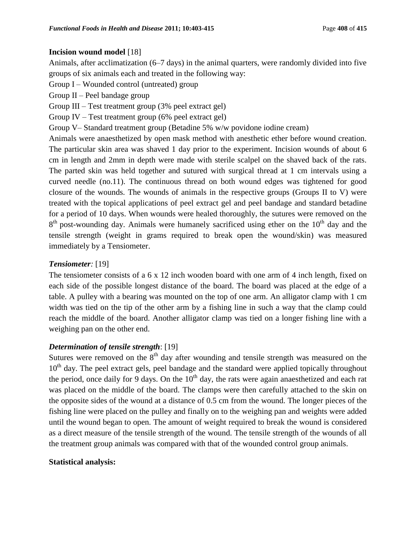### **Incision wound model** [18]

Animals, after acclimatization (6–7 days) in the animal quarters, were randomly divided into five groups of six animals each and treated in the following way:

Group I – Wounded control (untreated) group

Group II – Peel bandage group

Group III – Test treatment group (3% peel extract gel)

Group IV – Test treatment group (6% peel extract gel)

Group V– Standard treatment group (Betadine 5% w/w povidone iodine cream)

Animals were anaesthetized by open mask method with anesthetic ether before wound creation. The particular skin area was shaved 1 day prior to the experiment. Incision wounds of about 6 cm in length and 2mm in depth were made with sterile scalpel on the shaved back of the rats. The parted skin was held together and sutured with surgical thread at 1 cm intervals using a curved needle (no.11). The continuous thread on both wound edges was tightened for good closure of the wounds. The wounds of animals in the respective groups (Groups II to V) were treated with the topical applications of peel extract gel and peel bandage and standard betadine for a period of 10 days. When wounds were healed thoroughly, the sutures were removed on the  $8<sup>th</sup>$  post-wounding day. Animals were humanely sacrificed using ether on the 10<sup>th</sup> day and the tensile strength (weight in grams required to break open the wound/skin) was measured immediately by a Tensiometer.

# *Tensiometer:* [19]

The tensiometer consists of a 6 x 12 inch wooden board with one arm of 4 inch length, fixed on each side of the possible longest distance of the board. The board was placed at the edge of a table. A pulley with a bearing was mounted on the top of one arm. An alligator clamp with 1 cm width was tied on the tip of the other arm by a fishing line in such a way that the clamp could reach the middle of the board. Another alligator clamp was tied on a longer fishing line with a weighing pan on the other end.

# *Determination of tensile strength*: [19]

Sutures were removed on the  $8<sup>th</sup>$  day after wounding and tensile strength was measured on the  $10<sup>th</sup>$  day. The peel extract gels, peel bandage and the standard were applied topically throughout the period, once daily for 9 days. On the  $10<sup>th</sup>$  day, the rats were again anaesthetized and each rat was placed on the middle of the board. The clamps were then carefully attached to the skin on the opposite sides of the wound at a distance of 0.5 cm from the wound. The longer pieces of the fishing line were placed on the pulley and finally on to the weighing pan and weights were added until the wound began to open. The amount of weight required to break the wound is considered as a direct measure of the tensile strength of the wound. The tensile strength of the wounds of all the treatment group animals was compared with that of the wounded control group animals.

#### **Statistical analysis:**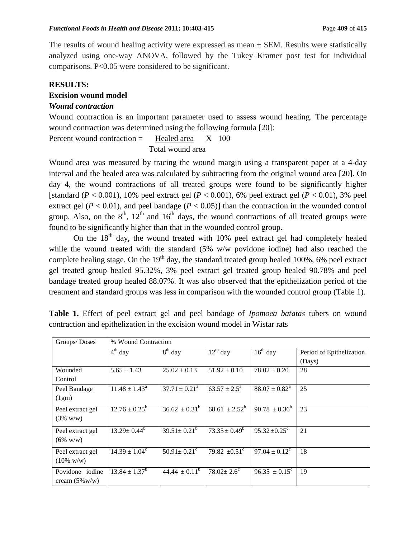The results of wound healing activity were expressed as mean  $\pm$  SEM. Results were statistically analyzed using one-way ANOVA, followed by the Tukey–Kramer post test for individual comparisons. P<0.05 were considered to be significant.

#### **RESULTS:**

#### **Excision wound model**

#### *Wound contraction*

Wound contraction is an important parameter used to assess wound healing. The percentage wound contraction was determined using the following formula [20]:

Percent wound contraction  $=$  Healed area  $X$  100 Total wound area

Wound area was measured by tracing the wound margin using a transparent paper at a 4-day interval and the healed area was calculated by subtracting from the original wound area [20]. On day 4, the wound contractions of all treated groups were found to be significantly higher [standard  $(P < 0.001)$ , 10% peel extract gel  $(P < 0.001)$ , 6% peel extract gel  $(P < 0.01)$ , 3% peel extract gel ( $P < 0.01$ ), and peel bandage ( $P < 0.05$ )] than the contraction in the wounded control group. Also, on the  $8<sup>th</sup>$ ,  $12<sup>th</sup>$  and  $16<sup>th</sup>$  days, the wound contractions of all treated groups were found to be significantly higher than that in the wounded control group.

On the  $18<sup>th</sup>$  day, the wound treated with  $10\%$  peel extract gel had completely healed while the wound treated with the standard (5% w/w povidone iodine) had also reached the complete healing stage. On the  $19<sup>th</sup>$  day, the standard treated group healed 100%, 6% peel extract gel treated group healed 95.32%, 3% peel extract gel treated group healed 90.78% and peel bandage treated group healed 88.07%. It was also observed that the epithelization period of the treatment and standard groups was less in comparison with the wounded control group (Table 1).

|  |  |  |  |  | Table 1. Effect of peel extract gel and peel bandage of <i>Ipomoea batatas</i> tubers on wound |  |  |
|--|--|--|--|--|------------------------------------------------------------------------------------------------|--|--|
|  |  |  |  |  | contraction and epithelization in the excision wound model in Wistar rats                      |  |  |

| Groups/Doses             | % Wound Contraction            |                               |                            |                               |                          |  |  |  |
|--------------------------|--------------------------------|-------------------------------|----------------------------|-------------------------------|--------------------------|--|--|--|
|                          | $\overline{4}^{\text{th}}$ day | $8th$ day                     | $12^{th}$ day              | $16th$ day                    | Period of Epithelization |  |  |  |
|                          |                                |                               |                            |                               | (Days)                   |  |  |  |
| Wounded                  | $5.65 \pm 1.43$                | $25.02 \pm 0.13$              | $51.92 \pm 0.10$           | $78.02 \pm 0.20$              | 28                       |  |  |  |
| Control                  |                                |                               |                            |                               |                          |  |  |  |
| Peel Bandage             | $11.48 \pm 1.43^{\circ}$       | $37.71 \pm 0.21^{\circ}$      | $63.57 \pm 2.5^{\text{a}}$ | $88.07 \pm 0.82^{\circ}$      | 25                       |  |  |  |
| (1gm)                    |                                |                               |                            |                               |                          |  |  |  |
| Peel extract gel         | $12.76 \pm 0.25^{\rm b}$       | $36.62 \pm 0.31^b$            | $68.61 \pm 2.52^b$         | $90.78 \pm 0.36^{\circ}$      | 23                       |  |  |  |
| $(3\% \text{ w/w})$      |                                |                               |                            |                               |                          |  |  |  |
| Peel extract gel         | $13.29 \pm 0.44^b$             | $39.51 \pm 0.21^b$            | $73.35 \pm 0.49^b$         | $95.32 \pm 0.25$ °            | 21                       |  |  |  |
| $(6\% \text{ W/W})$      |                                |                               |                            |                               |                          |  |  |  |
| Peel extract gel         | $14.39 \pm 1.04^c$             | $50.91 \pm 0.21$ <sup>c</sup> | $79.82 \pm 0.51$ °         | $97.04 \pm 0.12$ <sup>c</sup> | 18                       |  |  |  |
| $(10\% \text{ w/w})$     |                                |                               |                            |                               |                          |  |  |  |
| Povidone iodine          | $13.84 \pm 1.37^b$             | $44.44 \pm 0.11^{b}$          | $78.02 \pm 2.6^{\circ}$    | $96.35 \pm 0.15^{\circ}$      | 19                       |  |  |  |
| cream $(5\% \text{w/w})$ |                                |                               |                            |                               |                          |  |  |  |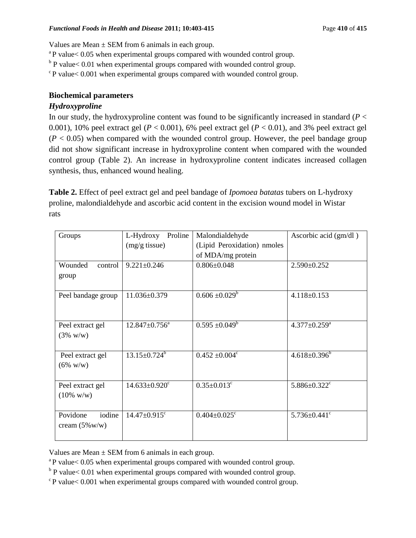Values are Mean  $\pm$  SEM from 6 animals in each group.

 $a<sup>a</sup>P$  value $< 0.05$  when experimental groups compared with wounded control group.

 $b$  P value < 0.01 when experimental groups compared with wounded control group.

 $c$ P value $< 0.001$  when experimental groups compared with wounded control group.

# **Biochemical parameters**

# *Hydroxyproline*

In our study, the hydroxyproline content was found to be significantly increased in standard  $(P <$ 0.001), 10% peel extract gel ( $P < 0.001$ ), 6% peel extract gel ( $P < 0.01$ ), and 3% peel extract gel  $(P < 0.05)$  when compared with the wounded control group. However, the peel bandage group did not show significant increase in hydroxyproline content when compared with the wounded control group (Table 2). An increase in hydroxyproline content indicates increased collagen synthesis, thus, enhanced wound healing.

**Table 2.** Effect of peel extract gel and peel bandage of *Ipomoea batatas* tubers on L-hydroxy proline, malondialdehyde and ascorbic acid content in the excision wound model in Wistar rats

| Groups                   | L-Hydroxy<br>Proline            | Malondialdehyde                | Ascorbic acid (gm/dl)          |  |  |
|--------------------------|---------------------------------|--------------------------------|--------------------------------|--|--|
|                          | $(mg/g$ tissue)                 | (Lipid Peroxidation) nmoles    |                                |  |  |
|                          |                                 | of MDA/mg protein              |                                |  |  |
| Wounded<br>control       | $9.221 \pm 0.246$               | $0.806 \pm 0.048$              | $2.590 \pm 0.252$              |  |  |
| group                    |                                 |                                |                                |  |  |
|                          |                                 |                                |                                |  |  |
| Peel bandage group       | 11.036±0.379                    | $0.606 \pm 0.029^b$            | $4.118 \pm 0.153$              |  |  |
|                          |                                 |                                |                                |  |  |
|                          |                                 |                                |                                |  |  |
| Peel extract gel         | $12.847 \pm 0.756^{\text{a}}$   | $0.595 \pm 0.049^b$            | $4.377 \pm 0.259^{\text{a}}$   |  |  |
| $(3\% \text{ w/w})$      |                                 |                                |                                |  |  |
|                          |                                 |                                |                                |  |  |
| Peel extract gel         | $13.15 \pm 0.724^b$             | $0.452 \pm 0.004$ <sup>c</sup> | $4.618 \pm 0.396^{\circ}$      |  |  |
| $(6\% \text{ w/w})$      |                                 |                                |                                |  |  |
|                          |                                 |                                |                                |  |  |
| Peel extract gel         | $14.633 \pm 0.920$ <sup>c</sup> | $0.35 \pm 0.013$ <sup>c</sup>  | $5.886 \pm 0.322$ <sup>c</sup> |  |  |
| $(10\% \text{ w/w})$     |                                 |                                |                                |  |  |
|                          |                                 |                                |                                |  |  |
| Povidone<br>iodine       | $14.47 \pm 0.915$ <sup>c</sup>  | $0.404 \pm 0.025$ <sup>c</sup> | $5.736 \pm 0.441$ <sup>c</sup> |  |  |
| cream $(5\% \text{w/w})$ |                                 |                                |                                |  |  |
|                          |                                 |                                |                                |  |  |

Values are Mean  $\pm$  SEM from 6 animals in each group.

 $a<sup>a</sup>P$  value $< 0.05$  when experimental groups compared with wounded control group.

 $b$  P value < 0.01 when experimental groups compared with wounded control group.

 $c$ P value $< 0.001$  when experimental groups compared with wounded control group.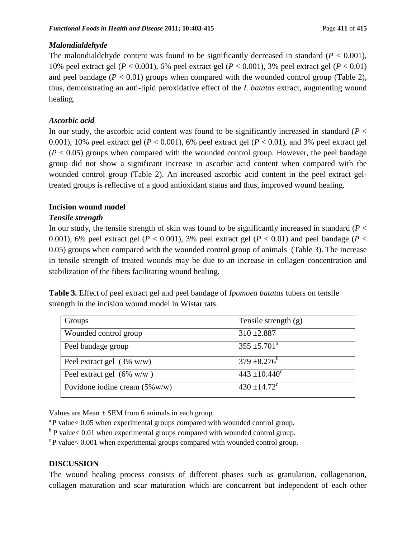# *Malondialdehyde*

The malondialdehyde content was found to be significantly decreased in standard  $(P < 0.001)$ , 10% peel extract gel (*P* < 0.001), 6% peel extract gel (*P* < 0.001), 3% peel extract gel (*P* < 0.01) and peel bandage  $(P < 0.01)$  groups when compared with the wounded control group (Table 2), thus, demonstrating an anti-lipid peroxidative effect of the *I. batatas* extract, augmenting wound healing.

# *Ascorbic acid*

In our study, the ascorbic acid content was found to be significantly increased in standard  $(P <$ 0.001), 10% peel extract gel ( $P < 0.001$ ), 6% peel extract gel ( $P < 0.01$ ), and 3% peel extract gel  $(P < 0.05)$  groups when compared with the wounded control group. However, the peel bandage group did not show a significant increase in ascorbic acid content when compared with the wounded control group (Table 2). An increased ascorbic acid content in the peel extract geltreated groups is reflective of a good antioxidant status and thus, improved wound healing.

# **Incision wound model**

# *Tensile strength*

In our study, the tensile strength of skin was found to be significantly increased in standard (*P* < 0.001), 6% peel extract gel ( $P < 0.001$ ), 3% peel extract gel ( $P < 0.01$ ) and peel bandage ( $P <$ 0.05) groups when compared with the wounded control group of animals (Table 3). The increase in tensile strength of treated wounds may be due to an increase in collagen concentration and stabilization of the fibers facilitating wound healing.

**Table 3.** Effect of peel extract gel and peel bandage of *Ipomoea batatas* tubers on tensile strength in the incision wound model in Wistar rats.

| Groups                                   | Tensile strength $(g)$       |
|------------------------------------------|------------------------------|
| Wounded control group                    | $310 \pm 2.887$              |
| Peel bandage group                       | $355 \pm 5.701^{\circ}$      |
| Peel extract gel $(3\% \text{ w/w})$     | $379 \pm 8.276^b$            |
| Peel extract gel $(6\% \text{ w/w})$     | $443 \pm 10.440^{\circ}$     |
| Povidone iodine cream $(5\% \text{w/w})$ | $430 \pm 14.72$ <sup>c</sup> |

Values are Mean  $\pm$  SEM from 6 animals in each group.

- $a<sup>a</sup>P$  value $< 0.05$  when experimental groups compared with wounded control group.
- $b$  P value< 0.01 when experimental groups compared with wounded control group.

 $c$ P value $< 0.001$  when experimental groups compared with wounded control group.

# **DISCUSSION**

The wound healing process consists of different phases such as granulation, collagenation, collagen maturation and scar maturation which are concurrent but independent of each other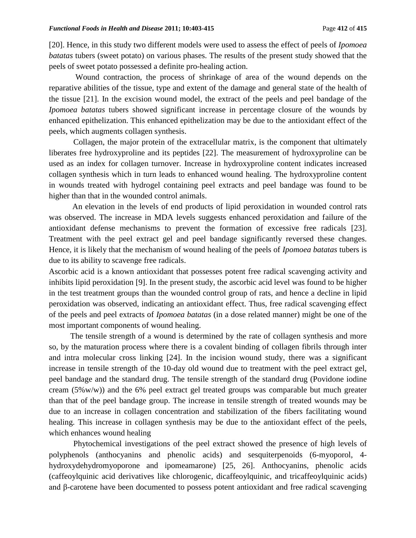[20]. Hence, in this study two different models were used to assess the effect of peels of *Ipomoea batatas* tubers (sweet potato) on various phases. The results of the present study showed that the peels of sweet potato possessed a definite pro-healing action.

Wound contraction, the process of shrinkage of area of the wound depends on the reparative abilities of the tissue, type and extent of the damage and general state of the health of the tissue [21]. In the excision wound model, the extract of the peels and peel bandage of the *Ipomoea batatas* tubers showed significant increase in percentage closure of the wounds by enhanced epithelization. This enhanced epithelization may be due to the antioxidant effect of the peels, which augments collagen synthesis.

Collagen, the major protein of the extracellular matrix, is the component that ultimately liberates free hydroxyproline and its peptides [22]. The measurement of hydroxyproline can be used as an index for collagen turnover. Increase in hydroxyproline content indicates increased collagen synthesis which in turn leads to enhanced wound healing. The hydroxyproline content in wounds treated with hydrogel containing peel extracts and peel bandage was found to be higher than that in the wounded control animals.

An elevation in the levels of end products of lipid peroxidation in wounded control rats was observed. The increase in MDA levels suggests enhanced peroxidation and failure of the antioxidant defense mechanisms to prevent the formation of excessive free radicals [23]. Treatment with the peel extract gel and peel bandage significantly reversed these changes. Hence, it is likely that the mechanism of wound healing of the peels of *Ipomoea batatas* tubers is due to its ability to scavenge free radicals.

Ascorbic acid is a known antioxidant that possesses potent free radical scavenging activity and inhibits lipid peroxidation [9]. In the present study, the ascorbic acid level was found to be higher in the test treatment groups than the wounded control group of rats, and hence a decline in lipid peroxidation was observed, indicating an antioxidant effect. Thus, free radical scavenging effect of the peels and peel extracts of *Ipomoea batatas* (in a dose related manner) might be one of the most important components of wound healing.

The tensile strength of a wound is determined by the rate of collagen synthesis and more so, by the maturation process where there is a covalent binding of collagen fibrils through inter and intra molecular cross linking [24]. In the incision wound study, there was a significant increase in tensile strength of the 10-day old wound due to treatment with the peel extract gel, peel bandage and the standard drug. The tensile strength of the standard drug (Povidone iodine cream (5%w/w)) and the 6% peel extract gel treated groups was comparable but much greater than that of the peel bandage group. The increase in tensile strength of treated wounds may be due to an increase in collagen concentration and stabilization of the fibers facilitating wound healing. This increase in collagen synthesis may be due to the antioxidant effect of the peels, which enhances wound healing

Phytochemical investigations of the peel extract showed the presence of high levels of polyphenols (anthocyanins and phenolic acids) and sesquiterpenoids (6-myoporol, 4 hydroxydehydromyoporone and ipomeamarone) [25, 26]. Anthocyanins, phenolic acids (caffeoylquinic acid derivatives like chlorogenic, dicaffeoylquinic, and tricaffeoylquinic acids) and β-carotene have been documented to possess potent antioxidant and free radical scavenging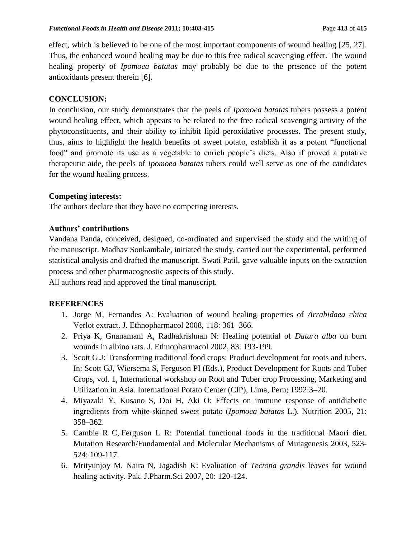effect, which is believed to be one of the most important components of wound healing [25, 27]. Thus, the enhanced wound healing may be due to this free radical scavenging effect. The wound healing property of *Ipomoea batatas* may probably be due to the presence of the potent antioxidants present therein [6].

# **CONCLUSION:**

In conclusion, our study demonstrates that the peels of *Ipomoea batatas* tubers possess a potent wound healing effect, which appears to be related to the free radical scavenging activity of the phytoconstituents, and their ability to inhibit lipid peroxidative processes. The present study, thus, aims to highlight the health benefits of sweet potato, establish it as a potent "functional food" and promote its use as a vegetable to enrich people's diets. Also if proved a putative therapeutic aide, the peels of *Ipomoea batatas* tubers could well serve as one of the candidates for the wound healing process.

# **Competing interests:**

The authors declare that they have no competing interests.

### **Authors' contributions**

Vandana Panda, conceived, designed, co-ordinated and supervised the study and the writing of the manuscript. Madhav Sonkambale, initiated the study, carried out the experimental, performed statistical analysis and drafted the manuscript. Swati Patil, gave valuable inputs on the extraction process and other pharmacognostic aspects of this study.

All authors read and approved the final manuscript.

# **REFERENCES**

- 1. Jorge M, Fernandes A: Evaluation of wound healing properties of *Arrabidaea chica* Verlot extract. J. Ethnopharmacol 2008, 118: 361–366.
- 2. Priya K, Gnanamani A, Radhakrishnan N: Healing potential of *Datura alba* on burn wounds in albino rats. J. Ethnopharmacol 2002, 83: 193-199.
- 3. Scott G.J: Transforming traditional food crops: Product development for roots and tubers. In: Scott GJ, Wiersema S, Ferguson PI (Eds.), Product Development for Roots and Tuber Crops, vol. 1, International workshop on Root and Tuber crop Processing, Marketing and Utilization in Asia. International Potato Center (CIP), Lima, Peru; 1992:3–20.
- 4. Miyazaki Y, Kusano S, Doi H, Aki O: Effects on immune response of antidiabetic ingredients from white-skinned sweet potato (*Ipomoea batatas* L.). Nutrition 2005, 21: 358–362.
- 5. Cambie R C, Ferguson L R: Potential functional foods in the traditional Maori diet. Mutation Research/Fundamental and Molecular Mechanisms of Mutagenesis 2003, [523-](http://www.sciencedirect.com/science?_ob=PublicationURL&_hubEid=1-s2.0-S0027510700X04319&_cid=271040&_pubType=JL&view=c&_auth=y&_acct=C000228598&_version=1&_urlVersion=0&_userid=10&md5=6e64ef10e680a088d666fda6eecd9713) [524:](http://www.sciencedirect.com/science?_ob=PublicationURL&_hubEid=1-s2.0-S0027510700X04319&_cid=271040&_pubType=JL&view=c&_auth=y&_acct=C000228598&_version=1&_urlVersion=0&_userid=10&md5=6e64ef10e680a088d666fda6eecd9713) 109-117.
- 6. Mrityunjoy M, Naira N, Jagadish K: Evaluation of *Tectona grandis* leaves for wound healing activity. Pak. J.Pharm.Sci 2007, 20: 120-124.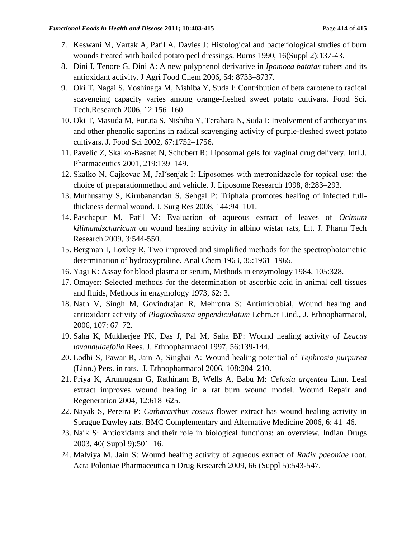- 7. Keswani M, Vartak A, [Patil A,](http://www.ncbi.nlm.nih.gov/pubmed?term=%22Patil%20A%22%5BAuthor%5D) [Davies J:](http://www.ncbi.nlm.nih.gov/pubmed?term=%22Davies%20JW%22%5BAuthor%5D) Histological and bacteriological studies of burn wounds treated with boiled potato peel dressings. Burns 1990, 16(Suppl 2):137-43.
- 8. Dini I, Tenore G, Dini A: A new polyphenol derivative in *Ipomoea batatas* tubers and its antioxidant activity. J Agri Food Chem 2006, 54: 8733–8737.
- 9. Oki T, Nagai S, Yoshinaga M, Nishiba Y, Suda I: Contribution of beta carotene to radical scavenging capacity varies among orange-fleshed sweet potato cultivars. Food Sci. Tech.Research 2006, 12:156–160.
- 10. Oki T, Masuda M, Furuta S, Nishiba Y, Terahara N, Suda I: Involvement of anthocyanins and other phenolic saponins in radical scavenging activity of purple-fleshed sweet potato cultivars. J. Food Sci 2002, 67:1752–1756.
- 11. Pavelic Z, Skalko-Basnet N, Schubert R: Liposomal gels for vaginal drug delivery. Intl J. Pharmaceutics 2001, 219:139–149.
- 12. Skalko N, Cajkovac M, Jalˇsenjak I: Liposomes with metronidazole for topical use: the choice of preparationmethod and vehicle. J. Liposome Research 1998, 8:283–293.
- 13. Muthusamy S, Kirubanandan S, Sehgal P: Triphala promotes healing of infected fullthickness dermal wound. J. Surg Res 2008, 144:94–101.
- 14. Paschapur M, Patil M: Evaluation of aqueous extract of leaves of *Ocimum kilimandscharicum* on wound healing activity in albino wistar rats, Int. J. Pharm Tech Research 2009, 3:544-550.
- 15. Bergman I, Loxley R, Two improved and simplified methods for the spectrophotometric determination of hydroxyproline. Anal Chem 1963, 35:1961–1965.
- 16. Yagi K: Assay for blood plasma or serum, Methods in enzymology 1984, 105:328.
- 17. Omayer: Selected methods for the determination of ascorbic acid in animal cell tissues and fluids, Methods in enzymology 1973, 62: 3.
- 18. Nath V, Singh M, Govindrajan R, Mehrotra S: Antimicrobial, Wound healing and antioxidant activity of *Plagiochasma appendiculatum* Lehm.et Lind., J. Ethnopharmacol, 2006, 107: 67–72.
- 19. Saha K, Mukherjee PK, Das J, Pal M, Saha BP: Wound healing activity of *Leucas lavandulaefolia* Rees. J. Ethnopharmacol 1997, 56:139-144.
- 20. Lodhi S, Pawar R, Jain A, Singhai A: Wound healing potential of *Tephrosia purpurea*  (Linn.) Pers. in rats. J. Ethnopharmacol 2006, 108:204–210.
- 21. Priya K, Arumugam G, Rathinam B, Wells A, Babu M: *Celosia argentea* Linn. Leaf extract improves wound healing in a rat burn wound model. Wound Repair and Regeneration 2004, 12:618–625.
- 22. Nayak S, Pereira P: *Catharanthus roseus* flower extract has wound healing activity in Sprague Dawley rats. BMC Complementary and Alternative Medicine 2006, 6: 41–46.
- 23. Naik S: Antioxidants and their role in biological functions: an overview. Indian Drugs 2003, 40( Suppl 9):501–16.
- 24. Malviya M, Jain S: Wound healing activity of aqueous extract of *Radix paeoniae* root. Acta Poloniae Pharmaceutica n Drug Research 2009, 66 (Suppl 5):543-547.